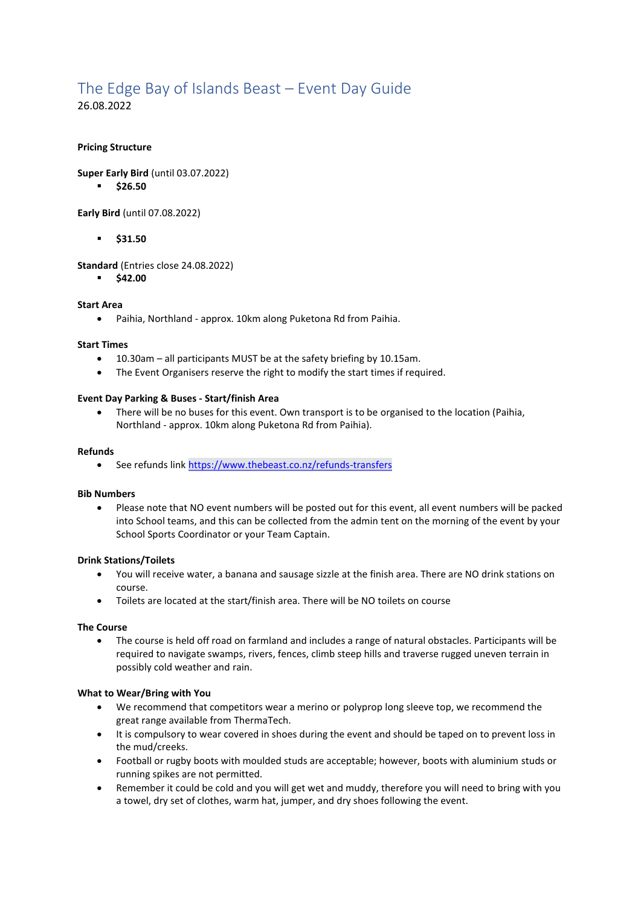# The Edge Bay of Islands Beast – Event Day Guide

26.08.2022

## **Pricing Structure**

**Super Early Bird** (until 03.07.2022)

▪ **\$26.50**

**Early Bird** (until 07.08.2022)

▪ **\$31.50**

**Standard** (Entries close 24.08.2022)

▪ **\$42.00**

## **Start Area**

• Paihia, Northland - approx. 10km along Puketona Rd from Paihia.

#### **Start Times**

- 10.30am all participants MUST be at the safety briefing by 10.15am.
- The Event Organisers reserve the right to modify the start times if required.

#### **Event Day Parking & Buses - Start/finish Area**

• There will be no buses for this event. Own transport is to be organised to the location (Paihia, Northland - approx. 10km along Puketona Rd from Paihia).

#### **Refunds**

• See refunds link <https://www.thebeast.co.nz/refunds-transfers>

#### **Bib Numbers**

• Please note that NO event numbers will be posted out for this event, all event numbers will be packed into School teams, and this can be collected from the admin tent on the morning of the event by your School Sports Coordinator or your Team Captain.

## **Drink Stations/Toilets**

- You will receive water, a banana and sausage sizzle at the finish area. There are NO drink stations on course.
- Toilets are located at the start/finish area. There will be NO toilets on course

## **The Course**

• The course is held off road on farmland and includes a range of natural obstacles. Participants will be required to navigate swamps, rivers, fences, climb steep hills and traverse rugged uneven terrain in possibly cold weather and rain.

## **What to Wear/Bring with You**

- We recommend that competitors wear a merino or polyprop long sleeve top, we recommend the great range available from ThermaTech.
- It is compulsory to wear covered in shoes during the event and should be taped on to prevent loss in the mud/creeks.
- Football or rugby boots with moulded studs are acceptable; however, boots with aluminium studs or running spikes are not permitted.
- Remember it could be cold and you will get wet and muddy, therefore you will need to bring with you a towel, dry set of clothes, warm hat, jumper, and dry shoes following the event.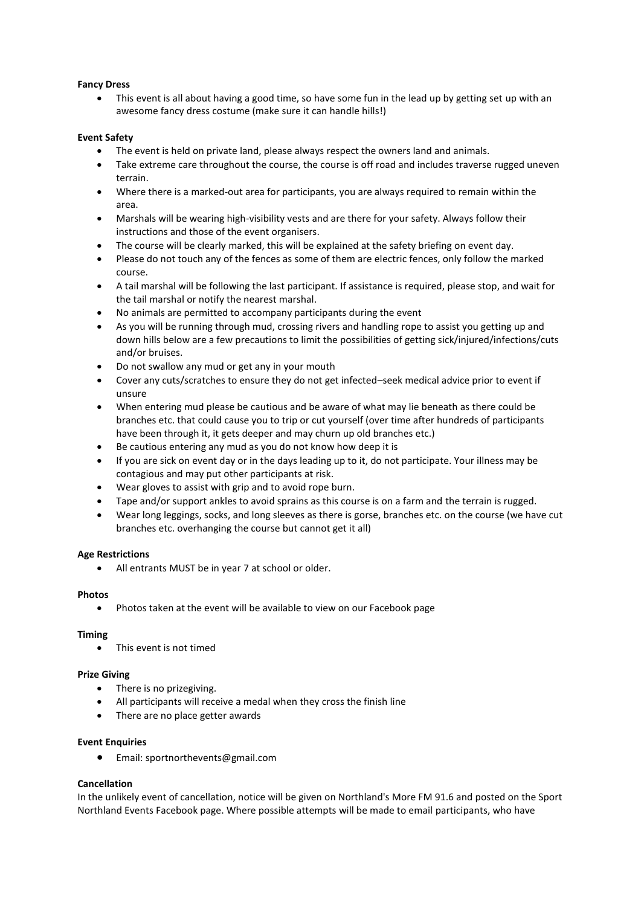## **Fancy Dress**

• This event is all about having a good time, so have some fun in the lead up by getting set up with an awesome fancy dress costume (make sure it can handle hills!)

## **Event Safety**

- The event is held on private land, please always respect the owners land and animals.
- Take extreme care throughout the course, the course is off road and includes traverse rugged uneven terrain.
- Where there is a marked-out area for participants, you are always required to remain within the area.
- Marshals will be wearing high-visibility vests and are there for your safety. Always follow their instructions and those of the event organisers.
- The course will be clearly marked, this will be explained at the safety briefing on event day.
- Please do not touch any of the fences as some of them are electric fences, only follow the marked course.
- A tail marshal will be following the last participant. If assistance is required, please stop, and wait for the tail marshal or notify the nearest marshal.
- No animals are permitted to accompany participants during the event
- As you will be running through mud, crossing rivers and handling rope to assist you getting up and down hills below are a few precautions to limit the possibilities of getting sick/injured/infections/cuts and/or bruises.
- Do not swallow any mud or get any in your mouth
- Cover any cuts/scratches to ensure they do not get infected–seek medical advice prior to event if unsure
- When entering mud please be cautious and be aware of what may lie beneath as there could be branches etc. that could cause you to trip or cut yourself (over time after hundreds of participants have been through it, it gets deeper and may churn up old branches etc.)
- Be cautious entering any mud as you do not know how deep it is
- If you are sick on event day or in the days leading up to it, do not participate. Your illness may be contagious and may put other participants at risk.
- Wear gloves to assist with grip and to avoid rope burn.
- Tape and/or support ankles to avoid sprains as this course is on a farm and the terrain is rugged.
- Wear long leggings, socks, and long sleeves as there is gorse, branches etc. on the course (we have cut branches etc. overhanging the course but cannot get it all)

## **Age Restrictions**

• All entrants MUST be in year 7 at school or older.

## **Photos**

• Photos taken at the event will be available to view on our Facebook page

## **Timing**

• This event is not timed

## **Prize Giving**

- There is no prizegiving.
- All participants will receive a medal when they cross the finish line
- There are no place getter awards

## **Event Enquiries**

• Email: sportnorthevents@gmail.com

## **Cancellation**

In the unlikely event of cancellation, notice will be given on Northland's More FM 91.6 and posted on the Sport Northland Events Facebook page. Where possible attempts will be made to email participants, who have